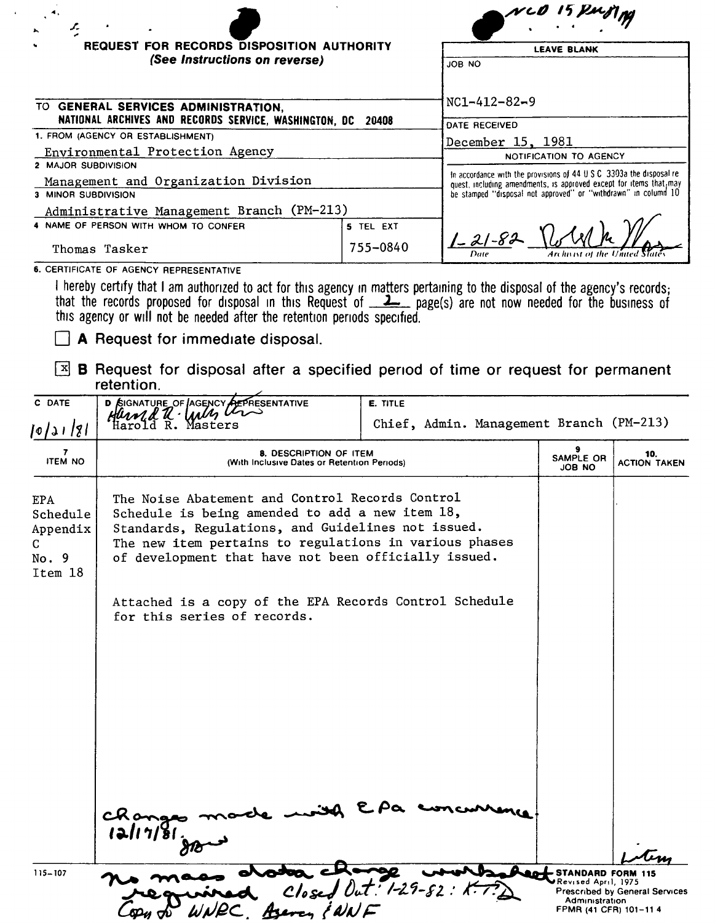| <b>REQUEST FOR RECORDS DISPOSITION AUTHORITY</b><br><b>LEAVE BLANK</b><br>(See Instructions on reverse)<br>JOB NO |                                                 |
|-------------------------------------------------------------------------------------------------------------------|-------------------------------------------------|
|                                                                                                                   |                                                 |
| 1. FROM (AGENCY OR ESTABLISHMENT)                                                                                 |                                                 |
| Environmental Protection Agency                                                                                   |                                                 |
| 2 MAJOR SUBDIVISION                                                                                               |                                                 |
| Management and Organization Division                                                                              |                                                 |
| 3 MINOR SUBDIVISION                                                                                               |                                                 |
|                                                                                                                   |                                                 |
| 5 TEL EXT                                                                                                         |                                                 |
| 755-0840                                                                                                          | $1 - 21 - 82$<br>Archivist of the United States |
|                                                                                                                   | Administrative Management Branch (PM-213)       |

**6.** CERTIFICATE OF **AGENCY** REPRESENTATIVE

I hereby certify that I am authorized to act for this agency in matters pertaining to the disposal of the agency's records;<br>that the records proposed for disposal in this Request of \_\_**\_\_\_** page(s) are not now needed for t this agency or will not be needed after the retention periods specified.

**A** Request for immediate disposal.

~ **B** Request for disposal after a specified period of time or request for permanent **retention.** 

|                                                                                                                                                                                                                                                                            |  |                                                                                                 | Chief, Admin. Management Branch (PM-213)                                               |
|----------------------------------------------------------------------------------------------------------------------------------------------------------------------------------------------------------------------------------------------------------------------------|--|-------------------------------------------------------------------------------------------------|----------------------------------------------------------------------------------------|
| 8. DESCRIPTION OF ITEM<br>(With Inclusive Dates or Retention Periods)                                                                                                                                                                                                      |  |                                                                                                 | 10.<br><b>ACTION TAKEN</b>                                                             |
| The Noise Abatement and Control Records Control<br>Schedule is being amended to add a new item 18,<br>Standards, Regulations, and Guidelines not issued.<br>The new item pertains to regulations in various phases<br>of development that have not been officially issued. |  |                                                                                                 |                                                                                        |
| for this series of records.                                                                                                                                                                                                                                                |  |                                                                                                 |                                                                                        |
| Changes<br>12117/81.                                                                                                                                                                                                                                                       |  | - STANDARD FORM 115<br>⊌Revised April, 1975                                                     | <b>Prescribed by General Services</b>                                                  |
|                                                                                                                                                                                                                                                                            |  | Attached is a copy of the EPA Records Control Schedule<br>$\csc J$ Out: 1-29-82:<br>Asercy (NNF | SAMPLE OR<br><b>JOB NO</b><br>$\mathbf{z}$<br>Administration<br>FPMR (41 CFR) 101-11 4 |